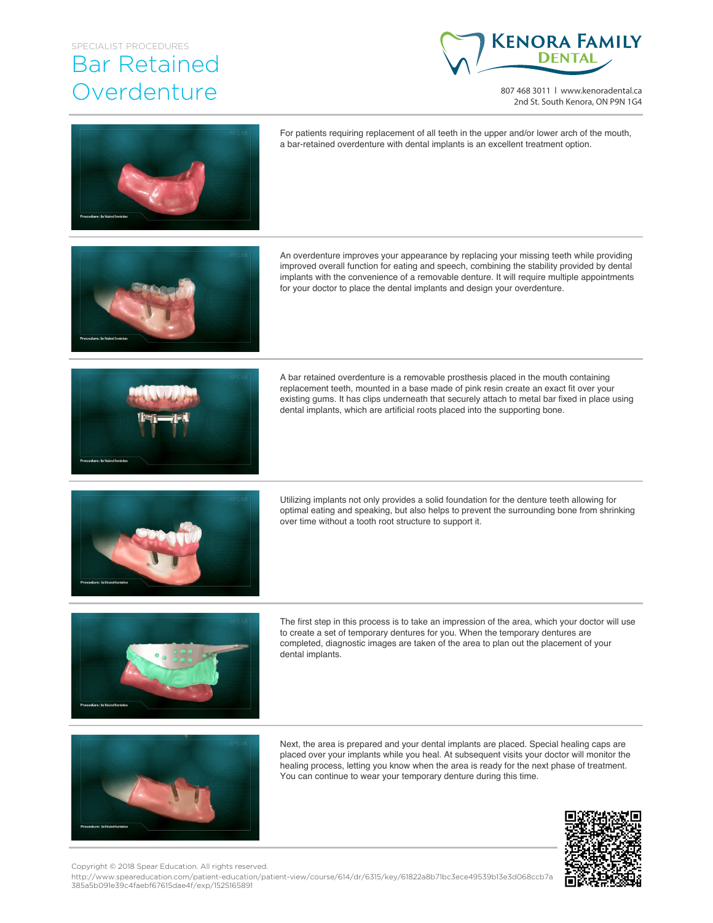## SPECIALIST PROCEDURES

## Bar Retained **Overdenture**



807 468 3011 | www.kenoradental.ca 2nd St. South Kenora, ON P9N 1G4



For patients requiring replacement of all teeth in the upper and/or lower arch of the mouth, a bar-retained overdenture with dental implants is an excellent treatment option.

An overdenture improves your appearance by replacing your missing teeth while providing improved overall function for eating and speech, combining the stability provided by dental implants with the convenience of a removable denture. It will require multiple appointments for your doctor to place the dental implants and design your overdenture.



A bar retained overdenture is a removable prosthesis placed in the mouth containing replacement teeth, mounted in a base made of pink resin create an exact fit over your existing gums. It has clips underneath that securely attach to metal bar fixed in place using dental implants, which are artificial roots placed into the supporting bone.



Utilizing implants not only provides a solid foundation for the denture teeth allowing for optimal eating and speaking, but also helps to prevent the surrounding bone from shrinking over time without a tooth root structure to support it.



The first step in this process is to take an impression of the area, which your doctor will use to create a set of temporary dentures for you. When the temporary dentures are completed, diagnostic images are taken of the area to plan out the placement of your dental implants.



Next, the area is prepared and your dental implants are placed. Special healing caps are placed over your implants while you heal. At subsequent visits your doctor will monitor the healing process, letting you know when the area is ready for the next phase of treatment. You can continue to wear your temporary denture during this time.



Copyright © 2018 Spear Education. All rights reserved.

http://www.speareducation.com/patient-education/patient-view/course/614/dr/6315/key/61822a8b71bc3ece49539b13e3d068ccb7a 385a5b091e39c4faebf67615dae4f/exp/1525165891